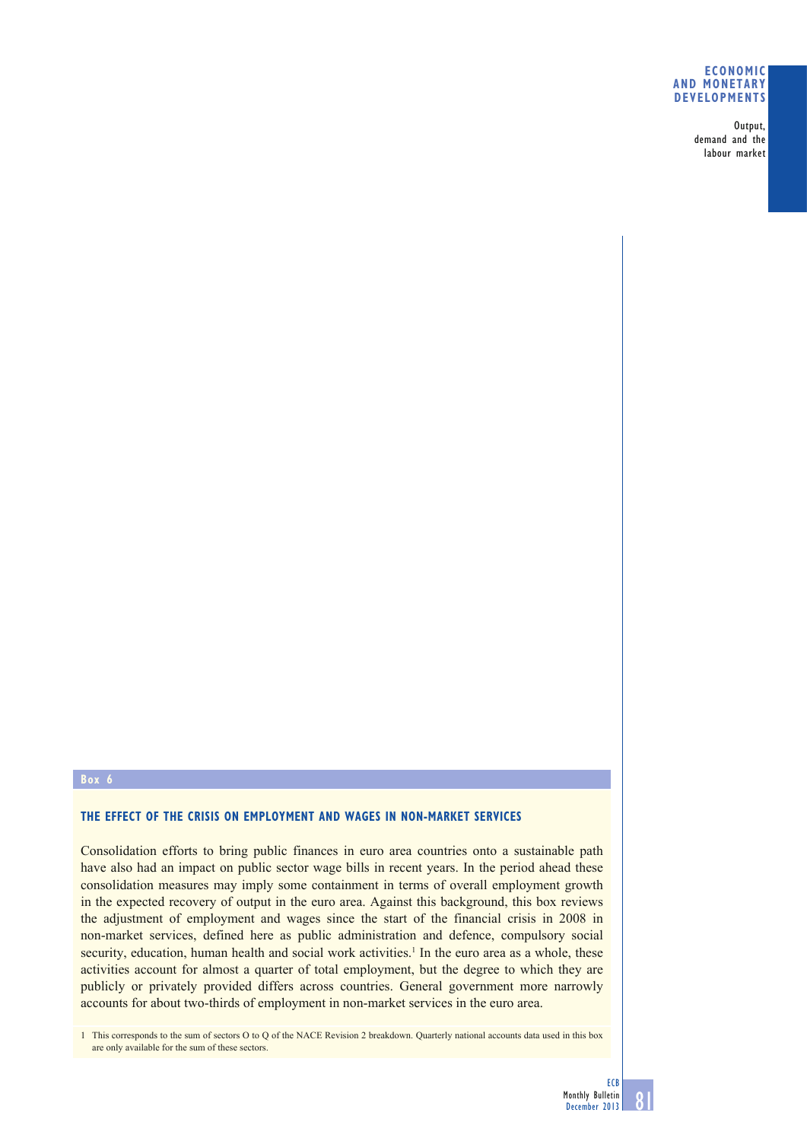## **ECONOMIC AND MONETARY DEVELOPMENTS**

Output, demand and the labour market

#### **Box 6**

## **THE EFFECT OF THE CRISIS ON EMPLOYMENT AND WAGES IN NON-MARKET SERVICES**

Consolidation efforts to bring public finances in euro area countries onto a sustainable path have also had an impact on public sector wage bills in recent years. In the period ahead these consolidation measures may imply some containment in terms of overall employment growth in the expected recovery of output in the euro area. Against this background, this box reviews the adjustment of employment and wages since the start of the financial crisis in 2008 in non-market services, defined here as public administration and defence, compulsory social security, education, human health and social work activities.<sup>1</sup> In the euro area as a whole, these activities account for almost a quarter of total employment, but the degree to which they are publicly or privately provided differs across countries. General government more narrowly accounts for about two-thirds of employment in non-market services in the euro area.

1 This corresponds to the sum of sectors O to Q of the NACE Revision 2 breakdown. Quarterly national accounts data used in this box are only available for the sum of these sectors.

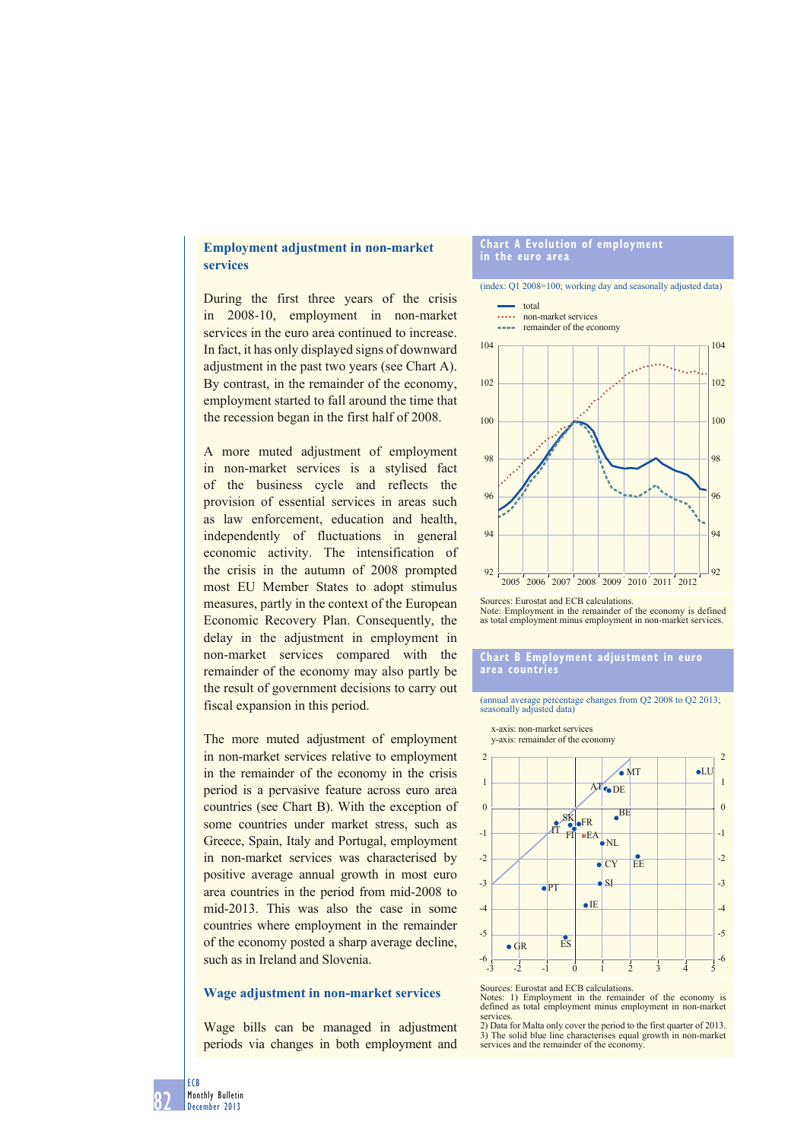# **Employment adjustment in non-market services**

During the first three years of the crisis in 2008-10, employment in non-market services in the euro area continued to increase. In fact, it has only displayed signs of downward adjustment in the past two years (see Chart A). By contrast, in the remainder of the economy, employment started to fall around the time that the recession began in the first half of 2008.

A more muted adjustment of employment in non-market services is a stylised fact of the business cycle and reflects the provision of essential services in areas such as law enforcement, education and health, independently of fluctuations in general economic activity. The intensification of the crisis in the autumn of 2008 prompted most EU Member States to adopt stimulus measures, partly in the context of the European Economic Recovery Plan. Consequently, the delay in the adjustment in employment in non-market services compared with the remainder of the economy may also partly be the result of government decisions to carry out fiscal expansion in this period.

The more muted adjustment of employment in non-market services relative to employment in the remainder of the economy in the crisis period is a pervasive feature across euro area countries (see Chart B). With the exception of some countries under market stress, such as Greece, Spain, Italy and Portugal, employment in non-market services was characterised by positive average annual growth in most euro area countries in the period from mid-2008 to mid-2013. This was also the case in some countries where employment in the remainder of the economy posted a sharp average decline, such as in Ireland and Slovenia.

# **Wage adjustment in non-market services**

Wage bills can be managed in adjustment periods via changes in both employment and

#### **Chart A Evolution of employment in the euro area**

(index: Q1 2008=100; working day and seasonally adjusted data) total





Sources: Eurostat and ECB calculations.

Note: Employment in the remainder of the economy is defined as total employment minus employment in non-market services.

### **Chart B Employment adjustment in euro area countries**

(annual average percentage changes from Q2 2008 to Q2 2013; seasonally adjusted data)



Sources: Eurostat and ECB calculations.

Notes: 1) Employment in the remainder of the economy is defined as total employment minus employment in non-market services.

2) Data for Malta only cover the period to the first quarter of 2013. 3) The solid blue line characterises equal growth in non-market services and the remainder of the economy.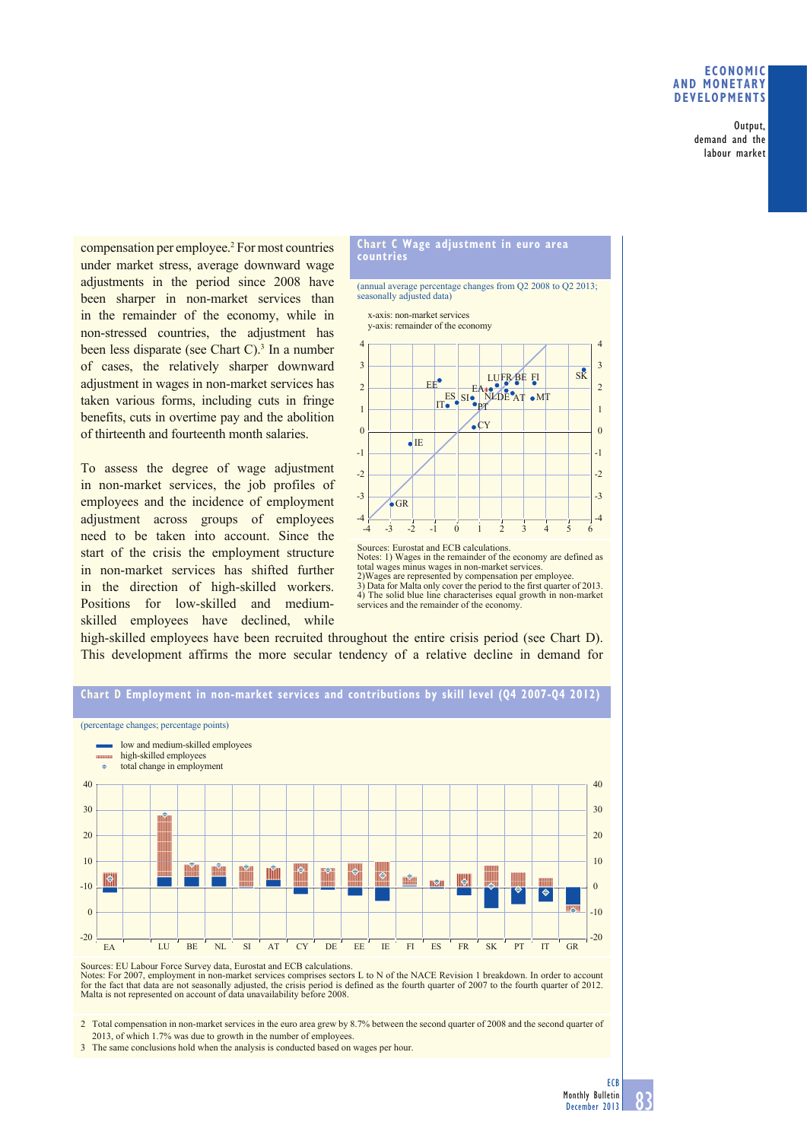## **ECONOMIC AND MONETARY DEVELOPMENTS**

Output, demand and the labour market

compensation per employee.2 For most countries under market stress, average downward wage adjustments in the period since 2008 have been sharper in non-market services than in the remainder of the economy, while in non-stressed countries, the adjustment has been less disparate (see Chart C).<sup>3</sup> In a number of cases, the relatively sharper downward adjustment in wages in non-market services has taken various forms, including cuts in fringe benefits, cuts in overtime pay and the abolition of thirteenth and fourteenth month salaries.

To assess the degree of wage adjustment in non-market services, the job profiles of employees and the incidence of employment adjustment across groups of employees need to be taken into account. Since the start of the crisis the employment structure in non-market services has shifted further in the direction of high-skilled workers. Positions for low-skilled and mediumskilled employees have declined, while



(annual average percentage changes from Q2 2008 to Q2 2013; seasonally adjusted data)





Sources: Eurostat and ECB calculations. Notes: 1) Wages in the remainder of the economy are defined as total wages minus wages in non-market services. 2)Wages are represented by compensation per employee. 3) Data for Malta only cover the period to the first quarter of 2013. 4) The solid blue line characterises equal growth in non-market services and the remainder of the economy.

high-skilled employees have been recruited throughout the entire crisis period (see Chart D). This development affirms the more secular tendency of a relative decline in demand for



Sources: EU Labour Force Survey data, Eurostat and ECB calculations. Notes: For 2007, employment in non-market services comprises sectors L to N of the NACE Revision 1 breakdown. In order to account for the fact that data are not seasonally adjusted, the crisis period is defined as the fourth quarter of 2007 to the fourth quarter of 2012. Malta is not represented on account of data unavailability before 2008.

2 Total compensation in non-market services in the euro area grew by 8.7% between the second quarter of 2008 and the second quarter of 2013, of which 1.7% was due to growth in the number of employees.

3 The same conclusions hold when the analysis is conducted based on wages per hour.